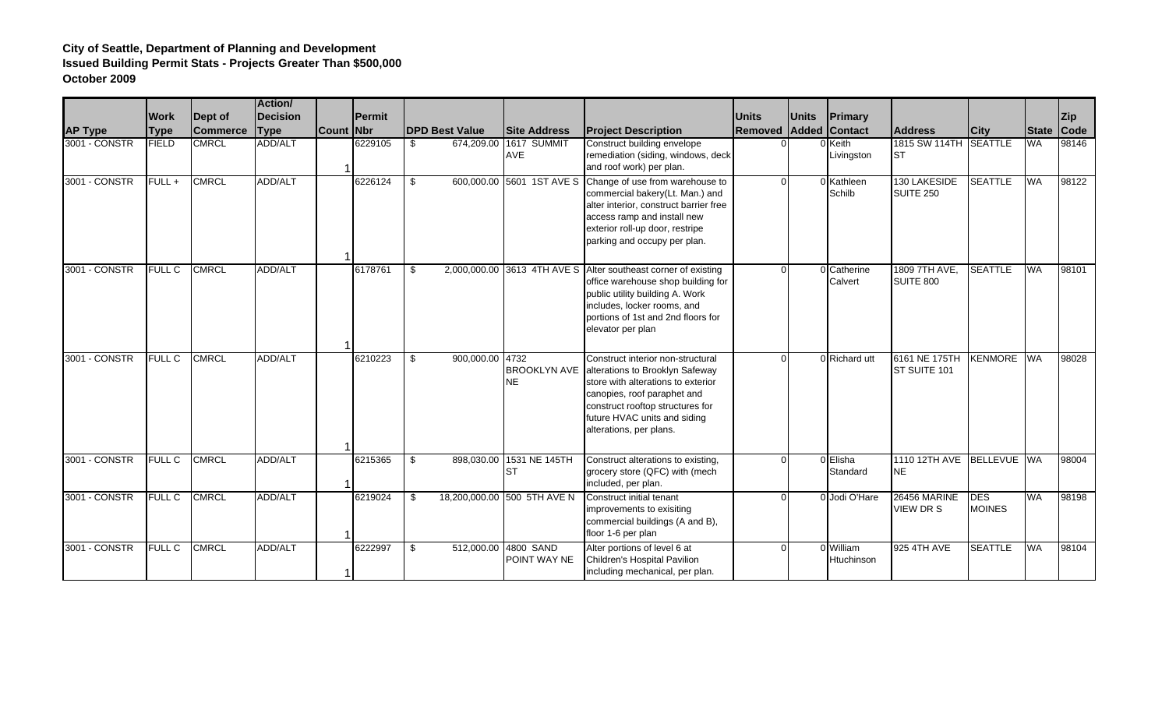|                |               |                 | <b>Action/</b>  |       |               |                       |                                  |                                                                                                                                                                                                                                          |          |              |                         |                                         |                             |              |            |
|----------------|---------------|-----------------|-----------------|-------|---------------|-----------------------|----------------------------------|------------------------------------------------------------------------------------------------------------------------------------------------------------------------------------------------------------------------------------------|----------|--------------|-------------------------|-----------------------------------------|-----------------------------|--------------|------------|
|                | <b>Work</b>   | Dept of         | <b>Decision</b> |       | <b>Permit</b> |                       |                                  |                                                                                                                                                                                                                                          | Units    | <b>Units</b> | <b>Primary</b>          |                                         |                             |              | <b>Zip</b> |
| <b>AP Type</b> | <b>Type</b>   | <b>Commerce</b> | <b>Type</b>     | Count | <b>Nbr</b>    | <b>DPD Best Value</b> | <b>Site Address</b>              | <b>Project Description</b>                                                                                                                                                                                                               | Removed  |              | <b>Added Contact</b>    | <b>Address</b>                          | <b>City</b>                 | <b>State</b> | Code       |
| 3001 - CONSTR  | <b>FIELD</b>  | <b>CMRCL</b>    | ADD/ALT         |       | 6229105       | \$<br>674,209.00      | 1617 SUMMIT<br><b>AVE</b>        | Construct building envelope<br>remediation (siding, windows, deck<br>and roof work) per plan.                                                                                                                                            |          |              | Keith<br>Livingston     | 1815 SW 114TH SEATTLE<br>Ist            |                             | <b>WA</b>    | 98146      |
| 3001 - CONSTR  | $FULL +$      | <b>CMRCL</b>    | <b>ADD/ALT</b>  |       | 6226124       | \$                    |                                  | 600,000.00 5601 1ST AVE S Change of use from warehouse to<br>commercial bakery(Lt. Man.) and<br>alter interior, construct barrier free<br>access ramp and install new<br>exterior roll-up door, restripe<br>parking and occupy per plan. | $\Omega$ |              | 0 Kathleen<br>Schilb    | 130 LAKESIDE<br><b>SUITE 250</b>        | <b>SEATTLE</b>              | <b>WA</b>    | 98122      |
| 3001 - CONSTR  | <b>FULL C</b> | <b>CMRCL</b>    | <b>ADD/ALT</b>  |       | 6178761       | \$                    |                                  | 2,000,000.00 3613 4TH AVE S Alter southeast corner of existing<br>office warehouse shop building for<br>public utility building A. Work<br>includes, locker rooms, and<br>portions of 1st and 2nd floors for<br>elevator per plan        |          |              | 0 Catherine<br>Calvert  | 1809 7TH AVE,<br>SUITE 800              | <b>SEATTLE</b>              | <b>WA</b>    | 98101      |
| 3001 - CONSTR  | <b>FULL C</b> | <b>CMRCL</b>    | ADD/ALT         |       | 6210223       | 900,000.00 4732<br>\$ | <b>BROOKLYN AVE</b><br><b>NE</b> | Construct interior non-structural<br>alterations to Brooklyn Safeway<br>store with alterations to exterior<br>canopies, roof paraphet and<br>construct rooftop structures for<br>future HVAC units and siding<br>alterations, per plans. | $\Omega$ |              | 0 Richard utt           | 6161 NE 175TH<br>ST SUITE 101           | <b>KENMORE</b>              | <b>WA</b>    | 98028      |
| 3001 - CONSTR  | <b>FULL C</b> | <b>CMRCL</b>    | ADD/ALT         |       | 6215365       | 898,030.00<br>\$      | 1531 NE 145TH<br><b>ST</b>       | Construct alterations to existing,<br>grocery store (QFC) with (mech<br>included, per plan.                                                                                                                                              |          |              | 0 Elisha<br>Standard    | 1110 12TH AVE BELLEVUE WA<br><b>NE</b>  |                             |              | 98004      |
| 3001 - CONSTR  | <b>FULL C</b> | <b>CMRCL</b>    | ADD/ALT         |       | 6219024       | -\$                   | 18,200,000.00 500 5TH AVE N      | Construct initial tenant<br>improvements to exisiting<br>commercial buildings (A and B),<br>floor 1-6 per plan                                                                                                                           | $\Omega$ |              | 0 Jodi O'Hare           | <b>26456 MARINE</b><br><b>VIEW DR S</b> | <b>DES</b><br><b>MOINES</b> | <b>WA</b>    | 98198      |
| 3001 - CONSTR  | <b>FULL C</b> | <b>CMRCL</b>    | ADD/ALT         |       | 6222997       | \$<br>512,000.00      | 4800 SAND<br>POINT WAY NE        | Alter portions of level 6 at<br>Children's Hospital Pavilion<br>including mechanical, per plan.                                                                                                                                          |          |              | 0 William<br>Htuchinson | 925 4TH AVE                             | <b>SEATTLE</b>              | <b>WA</b>    | 98104      |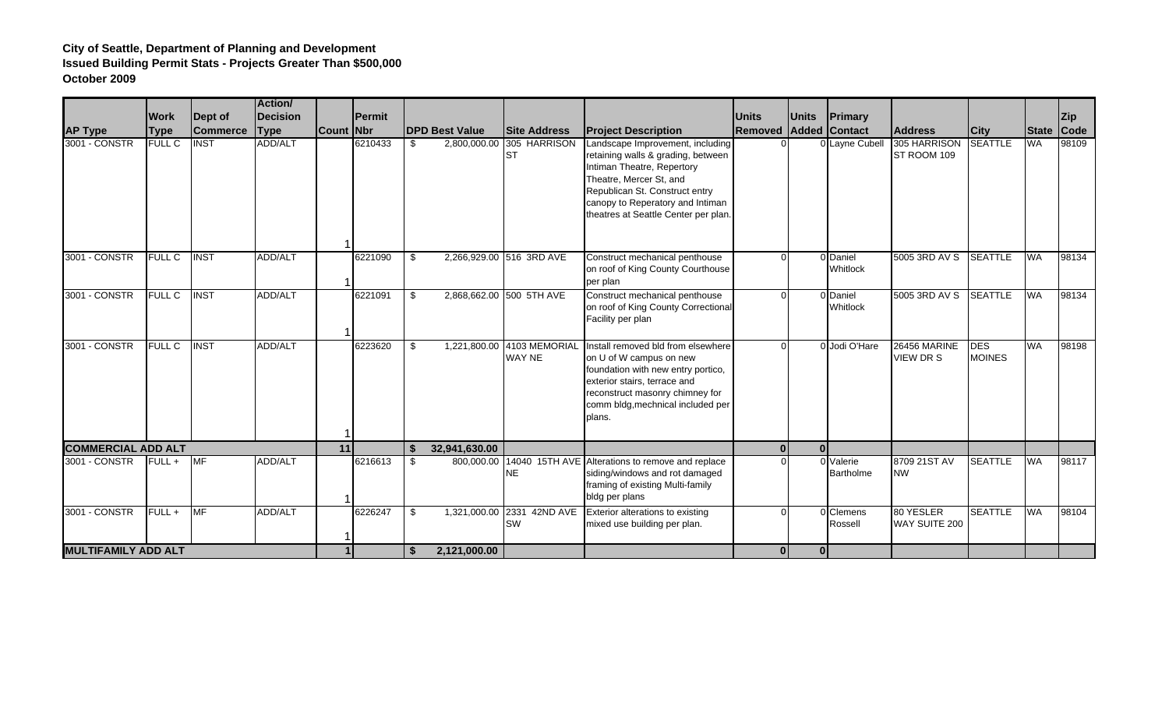|                            |               |                 | <b>Action</b>   |           |                |                       |                                             |                                                                                                                                                                                                                                               |              |              |                        |                                         |                             |              |                 |
|----------------------------|---------------|-----------------|-----------------|-----------|----------------|-----------------------|---------------------------------------------|-----------------------------------------------------------------------------------------------------------------------------------------------------------------------------------------------------------------------------------------------|--------------|--------------|------------------------|-----------------------------------------|-----------------------------|--------------|-----------------|
|                            | <b>Work</b>   | Dept of         | <b>Decision</b> |           | <b>IPermit</b> |                       |                                             |                                                                                                                                                                                                                                               | <b>Units</b> | <b>Units</b> | Primary                |                                         |                             |              | <b>Zip</b>      |
| <b>AP Type</b>             | <b>Type</b>   | <b>Commerce</b> | <b>Type</b>     | Count Nbr |                | <b>DPD Best Value</b> | <b>Site Address</b>                         | <b>Project Description</b>                                                                                                                                                                                                                    | Removed      | Added        | <b>Contact</b>         | <b>Address</b>                          | <b>City</b>                 | <b>State</b> | $\mathsf{Code}$ |
| 3001 - CONSTR              | <b>FULL C</b> | <b>INST</b>     | <b>ADD/ALT</b>  |           | 6210433        | \$<br>2,800,000.00    | 305 HARRISON<br><b>I</b> ST                 | Landscape Improvement, including<br>retaining walls & grading, between<br>Intiman Theatre, Repertory<br>Theatre, Mercer St, and<br>Republican St. Construct entry<br>canopy to Reperatory and Intiman<br>theatres at Seattle Center per plan. |              |              | 0 Layne Cubell         | 305 HARRISON<br>ST ROOM 109             | <b>SEATTLE</b>              | <b>WA</b>    | 98109           |
| 3001 - CONSTR              | FULL C        | <b>INST</b>     | ADD/ALT         |           | 6221090        | \$                    | 2,266,929.00 516 3RD AVE                    | Construct mechanical penthouse<br>on roof of King County Courthouse<br>per plan                                                                                                                                                               |              |              | 0 Daniel<br>Whitlock   | 5005 3RD AV S                           | <b>SEATTLE</b>              | <b>WA</b>    | 98134           |
| 3001 - CONSTR              | <b>FULL C</b> | <b>INST</b>     | ADD/ALT         |           | 6221091        | \$                    | 2,868,662.00 500 5TH AVE                    | Construct mechanical penthouse<br>on roof of King County Correctional<br>Facility per plan                                                                                                                                                    |              |              | 0 Daniel<br>Whitlock   | 5005 3RD AV S                           | <b>SEATTLE</b>              | <b>WA</b>    | 98134           |
| 3001 - CONSTR              | FULL C        | <b>INST</b>     | ADD/ALT         |           | 6223620        | \$                    | 1,221,800.00 4103 MEMORIAL<br><b>WAY NE</b> | Install removed bld from elsewhere<br>on U of W campus on new<br>foundation with new entry portico,<br>exterior stairs, terrace and<br>reconstruct masonry chimney for<br>comm bldg, mechnical included per<br>plans.                         | $\Omega$     |              | 0 Jodi O'Hare          | <b>26456 MARINE</b><br><b>VIEW DR S</b> | <b>DES</b><br><b>MOINES</b> | <b>WA</b>    | 98198           |
| <b>COMMERCIAL ADD ALT</b>  |               |                 |                 | 11        |                | 32,941,630.00<br>\$   |                                             |                                                                                                                                                                                                                                               | $\mathbf{0}$ |              |                        |                                         |                             |              |                 |
| 3001 - CONSTR              | $FULL +$      | <b>MF</b>       | ADD/ALT         |           | 6216613        | \$                    | <b>NE</b>                                   | 800,000.00 14040 15TH AVE Alterations to remove and replace<br>siding/windows and rot damaged<br>framing of existing Multi-family<br>bldg per plans                                                                                           |              |              | 0 Valerie<br>Bartholme | 8709 21ST AV<br><b>NW</b>               | <b>SEATTLE</b>              | <b>WA</b>    | 98117           |
| 3001 - CONSTR              | FULL+         | <b>MF</b>       | ADD/ALT         |           | 6226247        | \$                    | 1,321,000.00 2331 42ND AVE<br><b>SW</b>     | Exterior alterations to existing<br>mixed use building per plan.                                                                                                                                                                              |              |              | 0 Clemens<br>Rossell   | 80 YESLER<br>WAY SUITE 200              | <b>SEATTLE</b>              | <b>WA</b>    | 98104           |
| <b>MULTIFAMILY ADD ALT</b> |               |                 |                 |           |                | 2,121,000.00<br>\$    |                                             |                                                                                                                                                                                                                                               | $\mathbf{0}$ | $\mathbf{0}$ |                        |                                         |                             |              |                 |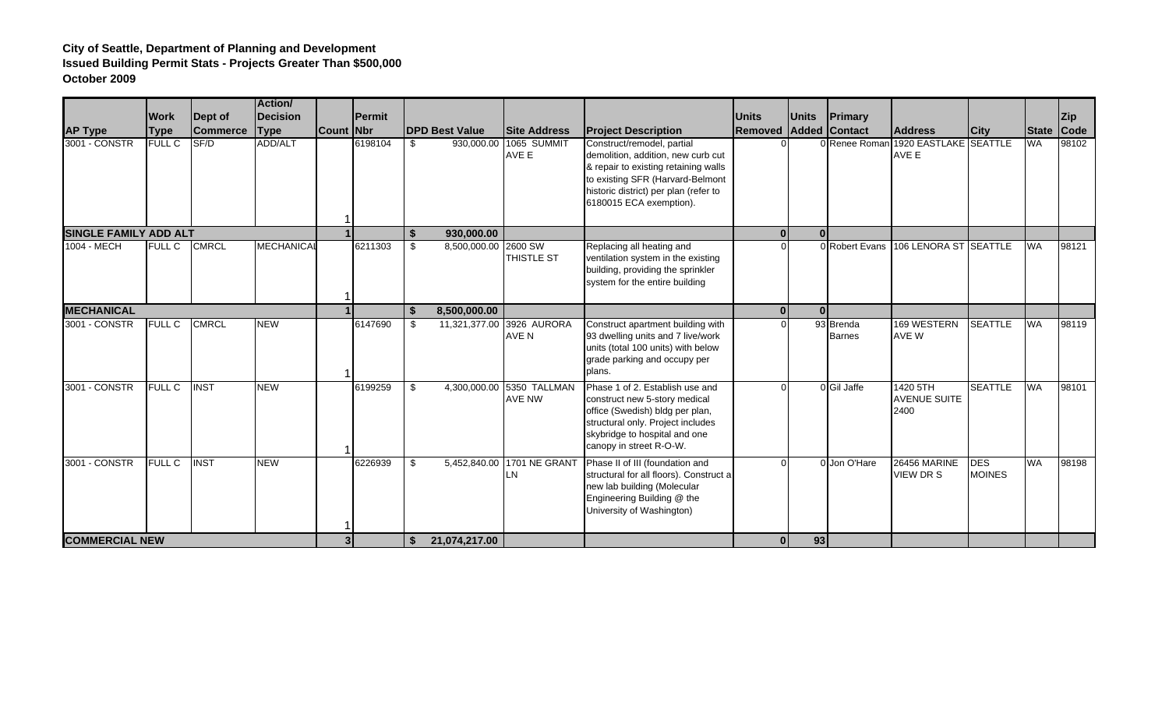|                              |               |                 | <b>Action/</b>    |           |                |                    |                       |                                            |                                                                                                                                                                                                                  |              |              |                            |                                         |                             |              |             |
|------------------------------|---------------|-----------------|-------------------|-----------|----------------|--------------------|-----------------------|--------------------------------------------|------------------------------------------------------------------------------------------------------------------------------------------------------------------------------------------------------------------|--------------|--------------|----------------------------|-----------------------------------------|-----------------------------|--------------|-------------|
|                              | <b>Work</b>   | Dept of         | <b>Decision</b>   |           | <b>IPermit</b> |                    |                       |                                            |                                                                                                                                                                                                                  | <b>Units</b> | <b>Units</b> | Primary                    |                                         |                             |              | <b>Zip</b>  |
| <b>AP Type</b>               | <b>Type</b>   | <b>Commerce</b> | <b>Type</b>       | Count Nbr |                |                    | <b>DPD Best Value</b> | <b>Site Address</b>                        | <b>Project Description</b>                                                                                                                                                                                       | Removed      |              | Added Contact              | <b>Address</b>                          | <b>City</b>                 | <b>State</b> | <b>Code</b> |
| 3001 - CONSTR                | <b>FULL C</b> | SF/D            | ADD/ALT           |           | 6198104        | \$                 |                       | 930,000.00 1065 SUMMIT<br>AVE E            | Construct/remodel, partial<br>demolition, addition, new curb cut<br>& repair to existing retaining walls<br>to existing SFR (Harvard-Belmont<br>historic district) per plan (refer to<br>6180015 ECA exemption). |              |              | 0 Renee Roman              | 1920 EASTLAKE SEATTLE<br>AVE E          |                             | <b>WA</b>    | 98102       |
| <b>SINGLE FAMILY ADD ALT</b> |               |                 |                   |           |                | $\mathbf{\hat{f}}$ | 930,000.00            |                                            |                                                                                                                                                                                                                  | $\mathbf{0}$ | $\Omega$     |                            |                                         |                             |              |             |
| 1004 - MECH                  | <b>FULL C</b> | <b>CMRCL</b>    | <b>MECHANICAI</b> |           | 6211303        | - \$               | 8,500,000.00 2600 SW  | THISTLE ST                                 | Replacing all heating and<br>ventilation system in the existing<br>building, providing the sprinkler<br>system for the entire building                                                                           | $\Omega$     |              |                            | 0 Robert Evans 106 LENORA ST SEATTLE    |                             | <b>WA</b>    | 98121       |
| <b>MECHANICAL</b>            |               |                 |                   |           |                | \$                 | 8,500,000.00          |                                            |                                                                                                                                                                                                                  | $\mathbf{0}$ | $\Omega$     |                            |                                         |                             |              |             |
| 3001 CONSTR                  | FULL C        | <b>CMRCL</b>    | <b>NEW</b>        |           | 6147690        | \$                 |                       | 11,321,377.00 3926 AURORA<br>AVE N         | Construct apartment building with<br>93 dwelling units and 7 live/work<br>units (total 100 units) with below<br>grade parking and occupy per<br>plans.                                                           | $\Omega$     |              | 93 Brenda<br><b>Barnes</b> | 169 WESTERN<br>AVE W                    | <b>SEATTLE</b>              | <b>WA</b>    | 98119       |
| 3001 - CONSTR                | FULL C        | <b>INST</b>     | <b>NEW</b>        |           | 6199259        | \$                 |                       | 4,300,000.00 5350 TALLMAN<br><b>AVE NW</b> | Phase 1 of 2. Establish use and<br>construct new 5-story medical<br>office (Swedish) bldg per plan,<br>structural only. Project includes<br>skybridge to hospital and one<br>canopy in street R-O-W.             |              |              | 0 Gil Jaffe                | 1420 5TH<br><b>AVENUE SUITE</b><br>2400 | <b>SEATTLE</b>              | <b>WA</b>    | 98101       |
| 3001 - CONSTR                | <b>FULL C</b> | <b>INST</b>     | <b>NEW</b>        |           | 6226939        | \$                 |                       | 5,452,840.00 1701 NE GRANT<br><b>I</b> LN  | Phase II of III (foundation and<br>structural for all floors). Construct a<br>new lab building (Molecular<br>Engineering Building @ the<br>University of Washington)                                             | $\Omega$     |              | 0 Jon O'Hare               | 26456 MARINE<br><b>VIEW DR S</b>        | <b>DES</b><br><b>MOINES</b> | <b>WA</b>    | 98198       |
| <b>COMMERCIAL NEW</b>        |               |                 |                   |           |                | \$                 | 21,074,217.00         |                                            |                                                                                                                                                                                                                  | 0            | 93           |                            |                                         |                             |              |             |